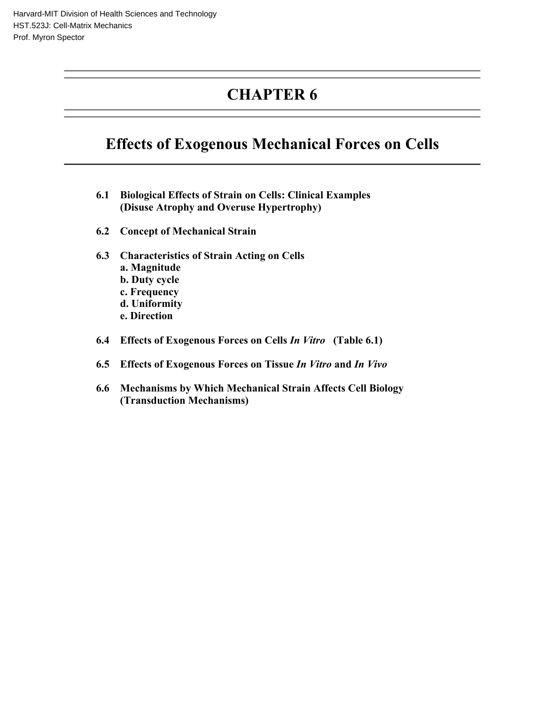# **CHAPTER 6**

# **Effects of Exogenous Mechanical Forces on Cells**

- **6.1 Biological Effects of Strain on Cells: Clinical Examples (Disuse Atrophy and Overuse Hypertrophy)**
- **6.2 Concept of Mechanical Strain**
- **6.3 Characteristics of Strain Acting on Cells a. Magnitude b. Duty cycle c. Frequency d. Uniformity e. Direction**
- **6.4 Effects of Exogenous Forces on Cells** *In Vitro* **(Table 6.1)**
- **6.5 Effects of Exogenous Forces on Tissue** *In Vitro* **and** *In Vivo*
- **6.6 Mechanisms by Which Mechanical Strain Affects Cell Biology (Transduction Mechanisms)**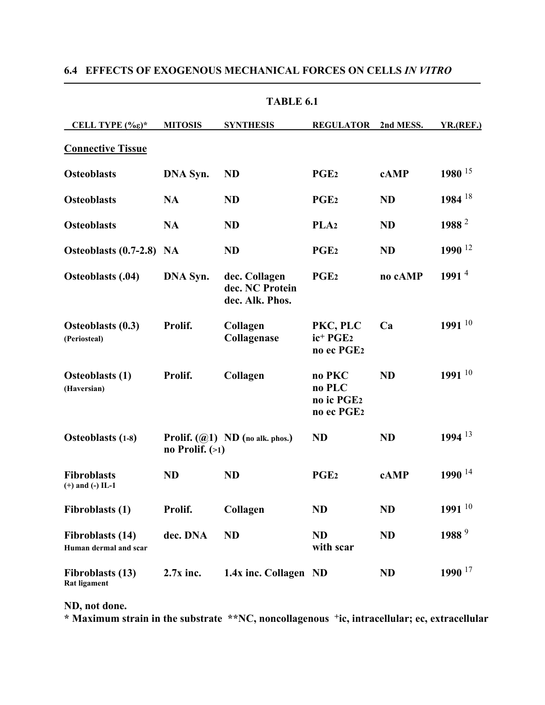| TABLE 6.1                                        |                   |                                                     |                                                                        |           |                      |  |  |  |
|--------------------------------------------------|-------------------|-----------------------------------------------------|------------------------------------------------------------------------|-----------|----------------------|--|--|--|
| CELL TYPE $(\% \varepsilon)^*$                   | <b>MITOSIS</b>    | <b>SYNTHESIS</b>                                    | <b>REGULATOR</b>                                                       | 2nd MESS. | <b>YR.(REF.)</b>     |  |  |  |
| <b>Connective Tissue</b>                         |                   |                                                     |                                                                        |           |                      |  |  |  |
| <b>Osteoblasts</b>                               | DNA Syn.          | <b>ND</b>                                           | PGE <sub>2</sub>                                                       | cAMP      | 1980 <sup>15</sup>   |  |  |  |
| <b>Osteoblasts</b>                               | <b>NA</b>         | <b>ND</b>                                           | PGE <sub>2</sub>                                                       | <b>ND</b> | 1984 $18$            |  |  |  |
| <b>Osteoblasts</b>                               | <b>NA</b>         | <b>ND</b>                                           | PLA <sub>2</sub>                                                       | <b>ND</b> | 1988 <sup>2</sup>    |  |  |  |
| Osteoblasts (0.7-2.8) NA                         |                   | <b>ND</b>                                           | PGE <sub>2</sub>                                                       | <b>ND</b> | $1990$ <sup>12</sup> |  |  |  |
| <b>Osteoblasts (.04)</b>                         | DNA Syn.          | dec. Collagen<br>dec. NC Protein<br>dec. Alk. Phos. | PGE <sub>2</sub>                                                       | no cAMP   | 1991 $4$             |  |  |  |
| <b>Osteoblasts (0.3)</b><br>(Periosteal)         | Prolif.           | Collagen<br>Collagenase                             | PKC, PLC<br>ic <sup>+</sup> PGE <sub>2</sub><br>no ec PGE <sub>2</sub> | Ca        | 1991 $10$            |  |  |  |
| <b>Osteoblasts</b> (1)<br>(Haversian)            | Prolif.           | Collagen                                            | no PKC<br>no PLC<br>no ic PGE <sub>2</sub><br>no ec PGE <sub>2</sub>   | <b>ND</b> | 1991 $10$            |  |  |  |
| <b>Osteoblasts (1-8)</b>                         | no Prolif. $(>1)$ | <b>Prolif.</b> $(\mathcal{Q}_1)$ ND (no alk. phos.) | <b>ND</b>                                                              | <b>ND</b> | 1994 13              |  |  |  |
| <b>Fibroblasts</b><br>$(+)$ and $(-)$ IL-1       | <b>ND</b>         | <b>ND</b>                                           | PGE <sub>2</sub>                                                       | cAMP      | 1990 <sup>14</sup>   |  |  |  |
| Fibroblasts (1)                                  | Prolif.           | Collagen                                            | <b>ND</b>                                                              | <b>ND</b> | 1991 $10$            |  |  |  |
| <b>Fibroblasts (14)</b><br>Human dermal and scar | dec. DNA          | <b>ND</b>                                           | <b>ND</b><br>with scar                                                 | <b>ND</b> | 1988 <sup>9</sup>    |  |  |  |
| <b>Fibroblasts (13)</b><br><b>Rat ligament</b>   | $2.7x$ inc.       | 1.4x inc. Collagen ND                               |                                                                        | <b>ND</b> | $1990$ <sup>17</sup> |  |  |  |

# **6.4 EFFECTS OF EXOGENOUS MECHANICAL FORCES ON CELLS** *IN VITRO*

**ND, not done.** 

**\* Maximum strain in the substrate \*\*NC, noncollagenous +ic, intracellular; ec, extracellular**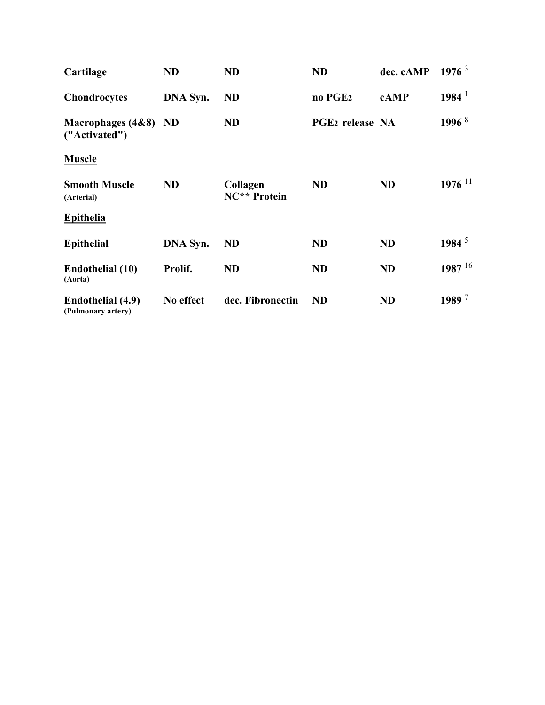| Cartilage                               | <b>ND</b> | <b>ND</b>                | <b>ND</b>                   | dec. cAMP | 1976 <sup>3</sup>    |
|-----------------------------------------|-----------|--------------------------|-----------------------------|-----------|----------------------|
| <b>Chondrocytes</b>                     | DNA Syn.  | <b>ND</b>                | no PGE <sub>2</sub>         | cAMP      | 1984 <sup>1</sup>    |
| Macrophages (4&8) ND<br>("Activated")   |           | <b>ND</b>                | PGE <sub>2</sub> release NA |           | 1996 $8$             |
| <b>Muscle</b>                           |           |                          |                             |           |                      |
| <b>Smooth Muscle</b><br>(Arterial)      | <b>ND</b> | Collagen<br>NC** Protein | <b>ND</b>                   | <b>ND</b> | $1976$ <sup>11</sup> |
| <b>Epithelia</b>                        |           |                          |                             |           |                      |
| <b>Epithelial</b>                       | DNA Syn.  | <b>ND</b>                | <b>ND</b>                   | <b>ND</b> | 1984 $^5$            |
| <b>Endothelial</b> (10)<br>(Aorta)      | Prolif.   | <b>ND</b>                | <b>ND</b>                   | <b>ND</b> | 1987 $16$            |
| Endothelial (4.9)<br>(Pulmonary artery) | No effect | dec. Fibronectin         | <b>ND</b>                   | <b>ND</b> | 1989 <sup>7</sup>    |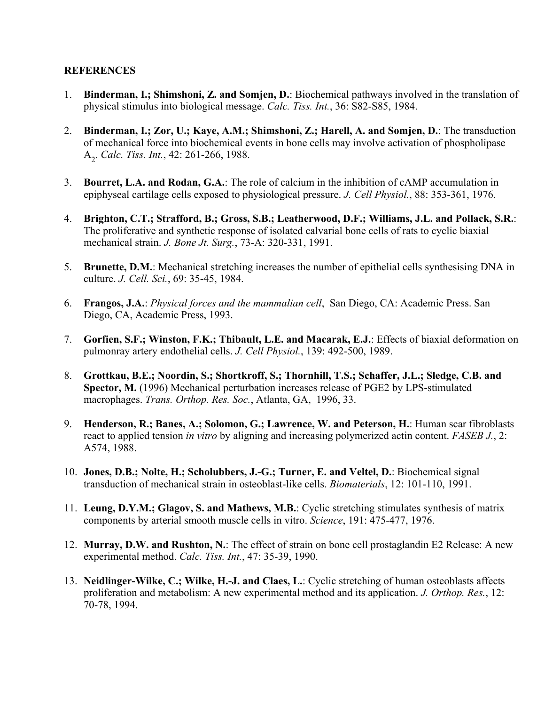#### **REFERENCES**

- 1. **Binderman, I.; Shimshoni, Z. and Somjen, D.**: Biochemical pathways involved in the translation of physical stimulus into biological message. *Calc. Tiss. Int.*, 36: S82-S85, 1984.
- 2. **Binderman, I.; Zor, U.; Kaye, A.M.; Shimshoni, Z.; Harell, A. and Somjen, D.**: The transduction of mechanical force into biochemical events in bone cells may involve activation of phospholipase A2 . *Calc. Tiss. Int.*, 42: 261-266, 1988.
- 3. **Bourret, L.A. and Rodan, G.A.**: The role of calcium in the inhibition of cAMP accumulation in epiphyseal cartilage cells exposed to physiological pressure. *J. Cell Physiol.*, 88: 353-361, 1976.
- 4. **Brighton, C.T.; Strafford, B.; Gross, S.B.; Leatherwood, D.F.; Williams, J.L. and Pollack, S.R.**: The proliferative and synthetic response of isolated calvarial bone cells of rats to cyclic biaxial mechanical strain. *J. Bone Jt. Surg.*, 73-A: 320-331, 1991.
- 5. **Brunette, D.M.**: Mechanical stretching increases the number of epithelial cells synthesising DNA in culture. *J. Cell. Sci.*, 69: 35-45, 1984.
- 6. **Frangos, J.A.**: *Physical forces and the mammalian cell*, San Diego, CA: Academic Press. San Diego, CA, Academic Press, 1993.
- 7. **Gorfien, S.F.; Winston, F.K.; Thibault, L.E. and Macarak, E.J.**: Effects of biaxial deformation on pulmonray artery endothelial cells. *J. Cell Physiol.*, 139: 492-500, 1989.
- 8. **Grottkau, B.E.; Noordin, S.; Shortkroff, S.; Thornhill, T.S.; Schaffer, J.L.; Sledge, C.B. and Spector, M.** (1996) Mechanical perturbation increases release of PGE2 by LPS-stimulated macrophages. *Trans. Orthop. Res. Soc.*, Atlanta, GA, 1996, 33.
- 9. **Henderson, R.; Banes, A.; Solomon, G.; Lawrence, W. and Peterson, H.**: Human scar fibroblasts react to applied tension *in vitro* by aligning and increasing polymerized actin content. *FASEB J.*, 2: A574, 1988.
- 10. **Jones, D.B.; Nolte, H.; Scholubbers, J.-G.; Turner, E. and Veltel, D.**: Biochemical signal transduction of mechanical strain in osteoblast-like cells. *Biomaterials*, 12: 101-110, 1991.
- 11. **Leung, D.Y.M.; Glagov, S. and Mathews, M.B.**: Cyclic stretching stimulates synthesis of matrix components by arterial smooth muscle cells in vitro. *Science*, 191: 475-477, 1976.
- 12. **Murray, D.W. and Rushton, N.**: The effect of strain on bone cell prostaglandin E2 Release: A new experimental method. *Calc. Tiss. Int.*, 47: 35-39, 1990.
- 13. **Neidlinger-Wilke, C.; Wilke, H.-J. and Claes, L.**: Cyclic stretching of human osteoblasts affects proliferation and metabolism: A new experimental method and its application. *J. Orthop. Res.*, 12: 70-78, 1994.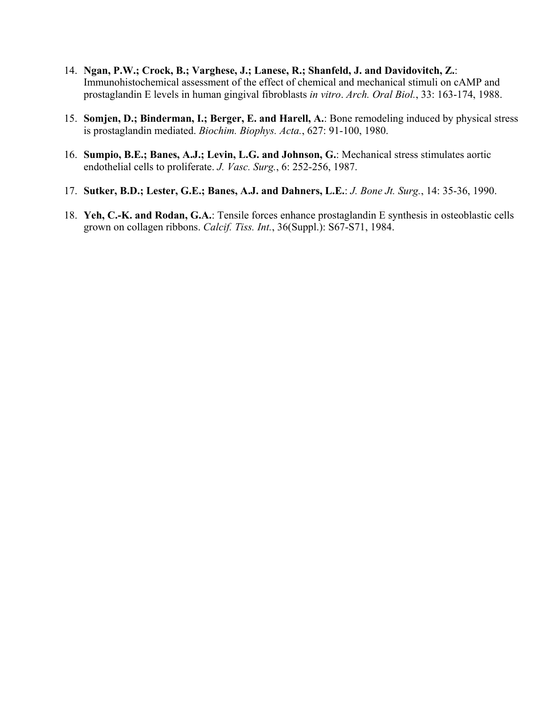- 14. **Ngan, P.W.; Crock, B.; Varghese, J.; Lanese, R.; Shanfeld, J. and Davidovitch, Z.**: Immunohistochemical assessment of the effect of chemical and mechanical stimuli on cAMP and prostaglandin E levels in human gingival fibroblasts *in vitro*. *Arch. Oral Biol.*, 33: 163-174, 1988.
- 15. **Somjen, D.; Binderman, I.; Berger, E. and Harell, A.**: Bone remodeling induced by physical stress is prostaglandin mediated. *Biochim. Biophys. Acta.*, 627: 91-100, 1980.
- 16. **Sumpio, B.E.; Banes, A.J.; Levin, L.G. and Johnson, G.**: Mechanical stress stimulates aortic endothelial cells to proliferate. *J. Vasc. Surg.*, 6: 252-256, 1987.
- 17. **Sutker, B.D.; Lester, G.E.; Banes, A.J. and Dahners, L.E.**: *J. Bone Jt. Surg.*, 14: 35-36, 1990.
- 18. **Yeh, C.-K. and Rodan, G.A.**: Tensile forces enhance prostaglandin E synthesis in osteoblastic cells grown on collagen ribbons. *Calcif. Tiss. Int.*, 36(Suppl.): S67-S71, 1984.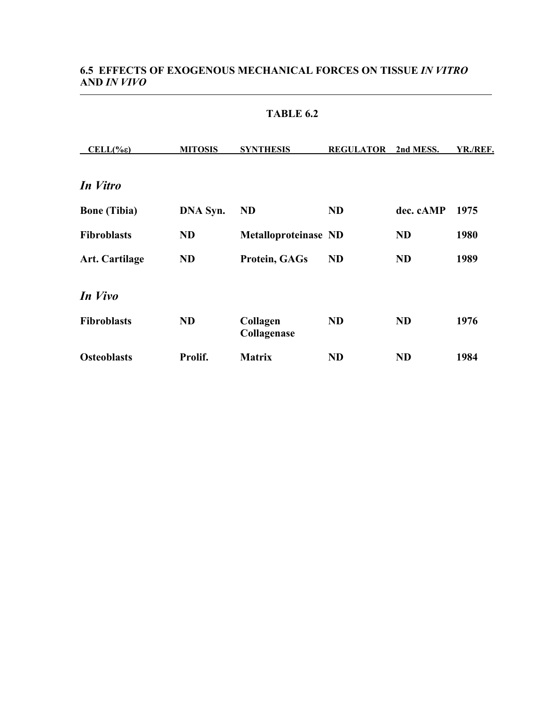# **6.5 EFFECTS OF EXOGENOUS MECHANICAL FORCES ON TISSUE** *IN VITRO*  **AND** *IN VIVO*

| $CELL(\% \varepsilon)$ | <b>MITOSIS</b> | <b>SYNTHESIS</b>            | <b>REGULATOR</b> | 2nd MESS. | YR./REF. |
|------------------------|----------------|-----------------------------|------------------|-----------|----------|
|                        |                |                             |                  |           |          |
| In Vitro               |                |                             |                  |           |          |
| <b>Bone</b> (Tibia)    | DNA Syn.       | <b>ND</b>                   | <b>ND</b>        | dec. cAMP | 1975     |
| <b>Fibroblasts</b>     | <b>ND</b>      | <b>Metalloproteinase ND</b> |                  | <b>ND</b> | 1980     |
| <b>Art. Cartilage</b>  | <b>ND</b>      | Protein, GAGs               | <b>ND</b>        | <b>ND</b> | 1989     |
| In Vivo                |                |                             |                  |           |          |
| <b>Fibroblasts</b>     | <b>ND</b>      | Collagen<br>Collagenase     | <b>ND</b>        | <b>ND</b> | 1976     |
| <b>Osteoblasts</b>     | Prolif.        | <b>Matrix</b>               | <b>ND</b>        | <b>ND</b> | 1984     |

### **TABLE 6.2**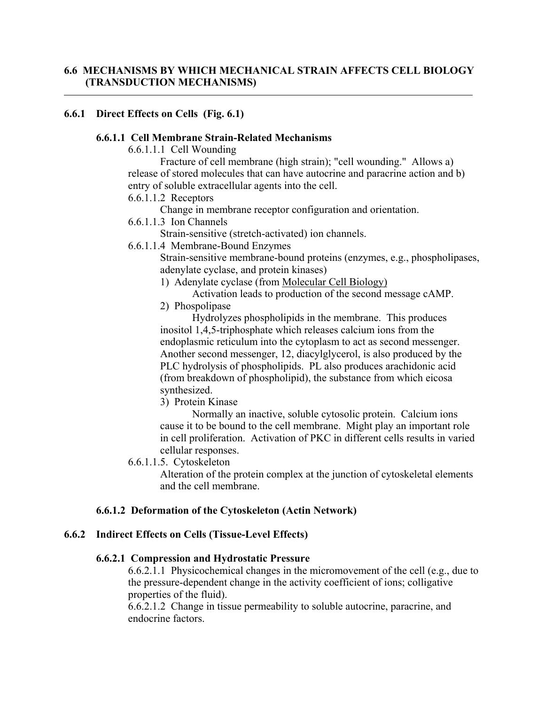## **6.6.1 Direct Effects on Cells (Fig. 6.1)**

#### **6.6.1.1 Cell Membrane Strain-Related Mechanisms**

6.6.1.1.1 Cell Wounding

Fracture of cell membrane (high strain); "cell wounding." Allows a) release of stored molecules that can have autocrine and paracrine action and b) entry of soluble extracellular agents into the cell.

6.6.1.1.2 Receptors

Change in membrane receptor configuration and orientation.

6.6.1.1.3 Ion Channels

Strain-sensitive (stretch-activated) ion channels.

6.6.1.1.4 Membrane-Bound Enzymes

Strain-sensitive membrane-bound proteins (enzymes, e.g., phospholipases, adenylate cyclase, and protein kinases)

- 1) Adenylate cyclase (from Molecular Cell Biology)
- Activation leads to production of the second message cAMP. 2) Phospolipase

Hydrolyzes phospholipids in the membrane. This produces inositol 1,4,5-triphosphate which releases calcium ions from the endoplasmic reticulum into the cytoplasm to act as second messenger. Another second messenger, 12, diacylglycerol, is also produced by the PLC hydrolysis of phospholipids. PL also produces arachidonic acid (from breakdown of phospholipid), the substance from which eicosa synthesized.

3) Protein Kinase

Normally an inactive, soluble cytosolic protein. Calcium ions cause it to be bound to the cell membrane. Might play an important role in cell proliferation. Activation of PKC in different cells results in varied cellular responses.

6.6.1.1.5. Cytoskeleton

Alteration of the protein complex at the junction of cytoskeletal elements and the cell membrane.

#### **6.6.1.2 Deformation of the Cytoskeleton (Actin Network)**

#### **6.6.2 Indirect Effects on Cells (Tissue-Level Effects)**

#### **6.6.2.1 Compression and Hydrostatic Pressure**

6.6.2.1.1 Physicochemical changes in the micromovement of the cell (e.g., due to the pressure-dependent change in the activity coefficient of ions; colligative properties of the fluid).

6.6.2.1.2 Change in tissue permeability to soluble autocrine, paracrine, and endocrine factors.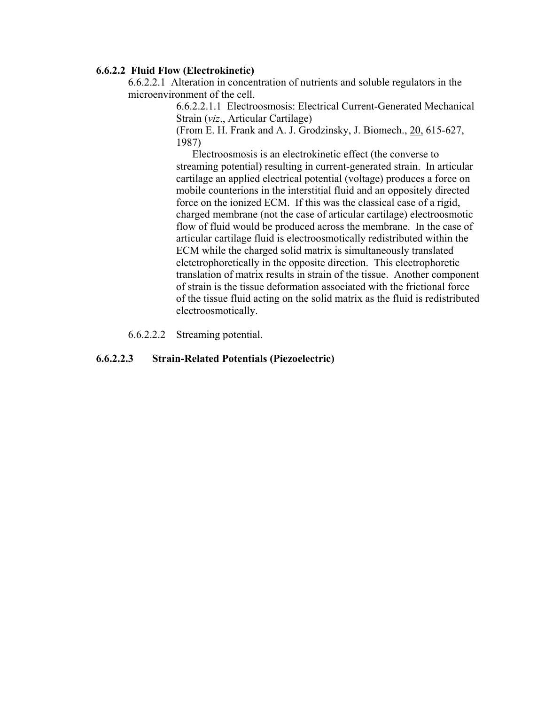#### **6.6.2.2 Fluid Flow (Electrokinetic)**

6.6.2.2.1 Alteration in concentration of nutrients and soluble regulators in the microenvironment of the cell.

> 6.6.2.2.1.1 Electroosmosis: Electrical Current-Generated Mechanical Strain (*viz*., Articular Cartilage)

(From E. H. Frank and A. J. Grodzinsky, J. Biomech., 20, 615-627, 1987)

Electroosmosis is an electrokinetic effect (the converse to streaming potential) resulting in current-generated strain. In articular cartilage an applied electrical potential (voltage) produces a force on mobile counterions in the interstitial fluid and an oppositely directed force on the ionized ECM. If this was the classical case of a rigid, charged membrane (not the case of articular cartilage) electroosmotic flow of fluid would be produced across the membrane. In the case of articular cartilage fluid is electroosmotically redistributed within the ECM while the charged solid matrix is simultaneously translated eletctrophoretically in the opposite direction. This electrophoretic translation of matrix results in strain of the tissue. Another component of strain is the tissue deformation associated with the frictional force of the tissue fluid acting on the solid matrix as the fluid is redistributed electroosmotically.

6.6.2.2.2 Streaming potential.

#### **6.6.2.2.3 Strain-Related Potentials (Piezoelectric)**